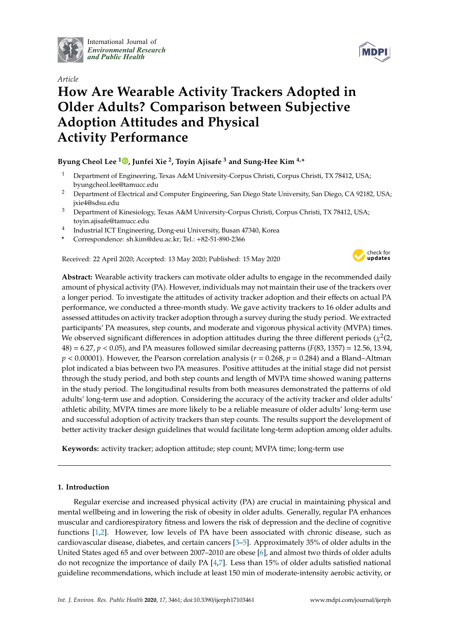

International Journal of *[Environmental Research](http://www.mdpi.com/journal/ijerph) and Public Health*



# *Article* **How Are Wearable Activity Trackers Adopted in Older Adults? Comparison between Subjective Adoption Attitudes and Physical Activity Performance**

# **Byung Cheol Lee [1](https://orcid.org/0000-0003-4189-0970) , Junfei Xie <sup>2</sup> , Toyin Ajisafe <sup>3</sup> and Sung-Hee Kim 4,\***

- <sup>1</sup> Department of Engineering, Texas A&M University-Corpus Christi, Corpus Christi, TX 78412, USA; byungcheol.lee@tamucc.edu
- <sup>2</sup> Department of Electrical and Computer Engineering, San Diego State University, San Diego, CA 92182, USA; jxie4@sdsu.edu
- <sup>3</sup> Department of Kinesiology, Texas A&M University-Corpus Christi, Corpus Christi, TX 78412, USA; toyin.ajisafe@tamucc.edu
- 4 Industrial ICT Engineering, Dong-eui University, Busan 47340, Korea
- **\*** Correspondence: sh.kim@deu.ac.kr; Tel.: +82-51-890-2366

Received: 22 April 2020; Accepted: 13 May 2020; Published: 15 May 2020



**Abstract:** Wearable activity trackers can motivate older adults to engage in the recommended daily amount of physical activity (PA). However, individuals may not maintain their use of the trackers over a longer period. To investigate the attitudes of activity tracker adoption and their effects on actual PA performance, we conducted a three-month study. We gave activity trackers to 16 older adults and assessed attitudes on activity tracker adoption through a survey during the study period. We extracted participants' PA measures, step counts, and moderate and vigorous physical activity (MVPA) times. We observed significant differences in adoption attitudes during the three different periods ( $\chi^2$ (2, 48) = 6.27, *p* < 0.05), and PA measures followed similar decreasing patterns (*F*(83, 1357) = 12.56, 13.94, *p* < 0.00001). However, the Pearson correlation analysis (*r* = 0.268, *p* = 0.284) and a Bland–Altman plot indicated a bias between two PA measures. Positive attitudes at the initial stage did not persist through the study period, and both step counts and length of MVPA time showed waning patterns in the study period. The longitudinal results from both measures demonstrated the patterns of old adults' long-term use and adoption. Considering the accuracy of the activity tracker and older adults' athletic ability, MVPA times are more likely to be a reliable measure of older adults' long-term use and successful adoption of activity trackers than step counts. The results support the development of better activity tracker design guidelines that would facilitate long-term adoption among older adults.

**Keywords:** activity tracker; adoption attitude; step count; MVPA time; long-term use

# **1. Introduction**

Regular exercise and increased physical activity (PA) are crucial in maintaining physical and mental wellbeing and in lowering the risk of obesity in older adults. Generally, regular PA enhances muscular and cardiorespiratory fitness and lowers the risk of depression and the decline of cognitive functions [\[1](#page-10-0)[,2\]](#page-10-1). However, low levels of PA have been associated with chronic disease, such as cardiovascular disease, diabetes, and certain cancers [\[3](#page-10-2)[–5\]](#page-10-3). Approximately 35% of older adults in the United States aged 65 and over between 2007–2010 are obese [\[6\]](#page-10-4), and almost two thirds of older adults do not recognize the importance of daily PA [\[4,](#page-10-5)[7\]](#page-10-6). Less than 15% of older adults satisfied national guideline recommendations, which include at least 150 min of moderate-intensity aerobic activity, or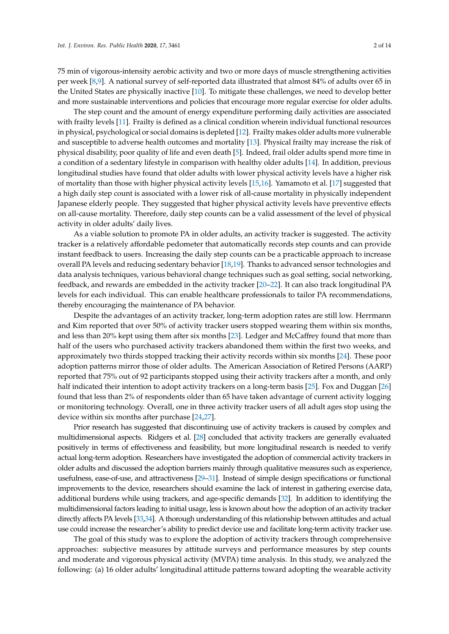75 min of vigorous-intensity aerobic activity and two or more days of muscle strengthening activities per week [\[8,](#page-10-7)[9\]](#page-11-0). A national survey of self-reported data illustrated that almost 84% of adults over 65 in the United States are physically inactive [\[10\]](#page-11-1). To mitigate these challenges, we need to develop better and more sustainable interventions and policies that encourage more regular exercise for older adults.

The step count and the amount of energy expenditure performing daily activities are associated with frailty levels [\[11\]](#page-11-2). Frailty is defined as a clinical condition wherein individual functional resources in physical, psychological or social domains is depleted [\[12\]](#page-11-3). Frailty makes older adults more vulnerable and susceptible to adverse health outcomes and mortality [\[13\]](#page-11-4). Physical frailty may increase the risk of physical disability, poor quality of life and even death [\[5\]](#page-10-3). Indeed, frail older adults spend more time in a condition of a sedentary lifestyle in comparison with healthy older adults [\[14\]](#page-11-5). In addition, previous longitudinal studies have found that older adults with lower physical activity levels have a higher risk of mortality than those with higher physical activity levels [\[15,](#page-11-6)[16\]](#page-11-7). Yamamoto et al. [\[17\]](#page-11-8) suggested that a high daily step count is associated with a lower risk of all-cause mortality in physically independent Japanese elderly people. They suggested that higher physical activity levels have preventive effects on all-cause mortality. Therefore, daily step counts can be a valid assessment of the level of physical activity in older adults' daily lives.

As a viable solution to promote PA in older adults, an activity tracker is suggested. The activity tracker is a relatively affordable pedometer that automatically records step counts and can provide instant feedback to users. Increasing the daily step counts can be a practicable approach to increase overall PA levels and reducing sedentary behavior [\[18,](#page-11-9)[19\]](#page-11-10). Thanks to advanced sensor technologies and data analysis techniques, various behavioral change techniques such as goal setting, social networking, feedback, and rewards are embedded in the activity tracker [\[20–](#page-11-11)[22\]](#page-11-12). It can also track longitudinal PA levels for each individual. This can enable healthcare professionals to tailor PA recommendations, thereby encouraging the maintenance of PA behavior.

Despite the advantages of an activity tracker, long-term adoption rates are still low. Herrmann and Kim reported that over 50% of activity tracker users stopped wearing them within six months, and less than 20% kept using them after six months [\[23\]](#page-11-13). Ledger and McCaffrey found that more than half of the users who purchased activity trackers abandoned them within the first two weeks, and approximately two thirds stopped tracking their activity records within six months [\[24\]](#page-11-14). These poor adoption patterns mirror those of older adults. The American Association of Retired Persons (AARP) reported that 75% out of 92 participants stopped using their activity trackers after a month, and only half indicated their intention to adopt activity trackers on a long-term basis [\[25\]](#page-11-15). Fox and Duggan [\[26\]](#page-11-16) found that less than 2% of respondents older than 65 have taken advantage of current activity logging or monitoring technology. Overall, one in three activity tracker users of all adult ages stop using the device within six months after purchase [\[24,](#page-11-14)[27\]](#page-11-17).

Prior research has suggested that discontinuing use of activity trackers is caused by complex and multidimensional aspects. Ridgers et al. [\[28\]](#page-11-18) concluded that activity trackers are generally evaluated positively in terms of effectiveness and feasibility, but more longitudinal research is needed to verify actual long-term adoption. Researchers have investigated the adoption of commercial activity trackers in older adults and discussed the adoption barriers mainly through qualitative measures such as experience, usefulness, ease-of-use, and attractiveness [\[29–](#page-11-19)[31\]](#page-12-0). Instead of simple design specifications or functional improvements to the device, researchers should examine the lack of interest in gathering exercise data, additional burdens while using trackers, and age-specific demands [\[32\]](#page-12-1). In addition to identifying the multidimensional factors leading to initial usage, less is known about how the adoption of an activity tracker directly affects PA levels [\[33](#page-12-2)[,34\]](#page-12-3). A thorough understanding of this relationship between attitudes and actual use could increase the researcher's ability to predict device use and facilitate long-term activity tracker use.

The goal of this study was to explore the adoption of activity trackers through comprehensive approaches: subjective measures by attitude surveys and performance measures by step counts and moderate and vigorous physical activity (MVPA) time analysis. In this study, we analyzed the following: (a) 16 older adults' longitudinal attitude patterns toward adopting the wearable activity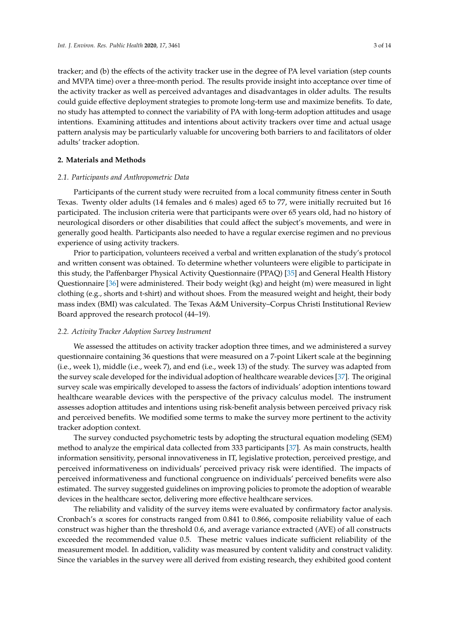tracker; and (b) the effects of the activity tracker use in the degree of PA level variation (step counts and MVPA time) over a three-month period. The results provide insight into acceptance over time of the activity tracker as well as perceived advantages and disadvantages in older adults. The results could guide effective deployment strategies to promote long-term use and maximize benefits. To date, no study has attempted to connect the variability of PA with long-term adoption attitudes and usage intentions. Examining attitudes and intentions about activity trackers over time and actual usage pattern analysis may be particularly valuable for uncovering both barriers to and facilitators of older adults' tracker adoption.

# **2. Materials and Methods**

#### *2.1. Participants and Anthropometric Data*

Participants of the current study were recruited from a local community fitness center in South Texas. Twenty older adults (14 females and 6 males) aged 65 to 77, were initially recruited but 16 participated. The inclusion criteria were that participants were over 65 years old, had no history of neurological disorders or other disabilities that could affect the subject's movements, and were in generally good health. Participants also needed to have a regular exercise regimen and no previous experience of using activity trackers.

Prior to participation, volunteers received a verbal and written explanation of the study's protocol and written consent was obtained. To determine whether volunteers were eligible to participate in this study, the Paffenbarger Physical Activity Questionnaire (PPAQ) [\[35\]](#page-12-4) and General Health History Questionnaire [\[36\]](#page-12-5) were administered. Their body weight (kg) and height (m) were measured in light clothing (e.g., shorts and t-shirt) and without shoes. From the measured weight and height, their body mass index (BMI) was calculated. The Texas A&M University–Corpus Christi Institutional Review Board approved the research protocol (44–19).

#### *2.2. Activity Tracker Adoption Survey Instrument*

We assessed the attitudes on activity tracker adoption three times, and we administered a survey questionnaire containing 36 questions that were measured on a 7-point Likert scale at the beginning (i.e., week 1), middle (i.e., week 7), and end (i.e., week 13) of the study. The survey was adapted from the survey scale developed for the individual adoption of healthcare wearable devices [\[37\]](#page-12-6). The original survey scale was empirically developed to assess the factors of individuals' adoption intentions toward healthcare wearable devices with the perspective of the privacy calculus model. The instrument assesses adoption attitudes and intentions using risk-benefit analysis between perceived privacy risk and perceived benefits. We modified some terms to make the survey more pertinent to the activity tracker adoption context.

The survey conducted psychometric tests by adopting the structural equation modeling (SEM) method to analyze the empirical data collected from 333 participants [\[37\]](#page-12-6). As main constructs, health information sensitivity, personal innovativeness in IT, legislative protection, perceived prestige, and perceived informativeness on individuals' perceived privacy risk were identified. The impacts of perceived informativeness and functional congruence on individuals' perceived benefits were also estimated. The survey suggested guidelines on improving policies to promote the adoption of wearable devices in the healthcare sector, delivering more effective healthcare services.

The reliability and validity of the survey items were evaluated by confirmatory factor analysis. Cronbach's  $\alpha$  scores for constructs ranged from 0.841 to 0.866, composite reliability value of each construct was higher than the threshold 0.6, and average variance extracted (AVE) of all constructs exceeded the recommended value 0.5. These metric values indicate sufficient reliability of the measurement model. In addition, validity was measured by content validity and construct validity. Since the variables in the survey were all derived from existing research, they exhibited good content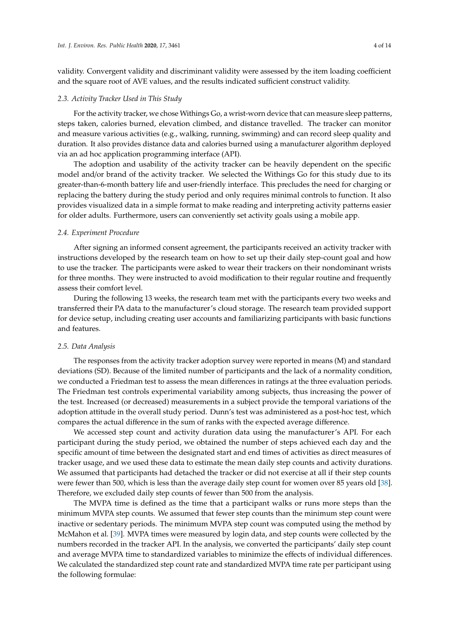validity. Convergent validity and discriminant validity were assessed by the item loading coefficient and the square root of AVE values, and the results indicated sufficient construct validity.

# *2.3. Activity Tracker Used in This Study*

For the activity tracker, we chose Withings Go, a wrist-worn device that can measure sleep patterns, steps taken, calories burned, elevation climbed, and distance travelled. The tracker can monitor and measure various activities (e.g., walking, running, swimming) and can record sleep quality and duration. It also provides distance data and calories burned using a manufacturer algorithm deployed via an ad hoc application programming interface (API).

The adoption and usability of the activity tracker can be heavily dependent on the specific model and/or brand of the activity tracker. We selected the Withings Go for this study due to its greater-than-6-month battery life and user-friendly interface. This precludes the need for charging or replacing the battery during the study period and only requires minimal controls to function. It also provides visualized data in a simple format to make reading and interpreting activity patterns easier for older adults. Furthermore, users can conveniently set activity goals using a mobile app.

# *2.4. Experiment Procedure*

After signing an informed consent agreement, the participants received an activity tracker with instructions developed by the research team on how to set up their daily step-count goal and how to use the tracker. The participants were asked to wear their trackers on their nondominant wrists for three months. They were instructed to avoid modification to their regular routine and frequently assess their comfort level.

During the following 13 weeks, the research team met with the participants every two weeks and transferred their PA data to the manufacturer's cloud storage. The research team provided support for device setup, including creating user accounts and familiarizing participants with basic functions and features.

#### *2.5. Data Analysis*

The responses from the activity tracker adoption survey were reported in means (M) and standard deviations (SD). Because of the limited number of participants and the lack of a normality condition, we conducted a Friedman test to assess the mean differences in ratings at the three evaluation periods. The Friedman test controls experimental variability among subjects, thus increasing the power of the test. Increased (or decreased) measurements in a subject provide the temporal variations of the adoption attitude in the overall study period. Dunn's test was administered as a post-hoc test, which compares the actual difference in the sum of ranks with the expected average difference.

We accessed step count and activity duration data using the manufacturer's API. For each participant during the study period, we obtained the number of steps achieved each day and the specific amount of time between the designated start and end times of activities as direct measures of tracker usage, and we used these data to estimate the mean daily step counts and activity durations. We assumed that participants had detached the tracker or did not exercise at all if their step counts were fewer than 500, which is less than the average daily step count for women over 85 years old [\[38\]](#page-12-7). Therefore, we excluded daily step counts of fewer than 500 from the analysis.

The MVPA time is defined as the time that a participant walks or runs more steps than the minimum MVPA step counts. We assumed that fewer step counts than the minimum step count were inactive or sedentary periods. The minimum MVPA step count was computed using the method by McMahon et al. [\[39\]](#page-12-8). MVPA times were measured by login data, and step counts were collected by the numbers recorded in the tracker API. In the analysis, we converted the participants' daily step count and average MVPA time to standardized variables to minimize the effects of individual differences. We calculated the standardized step count rate and standardized MVPA time rate per participant using the following formulae: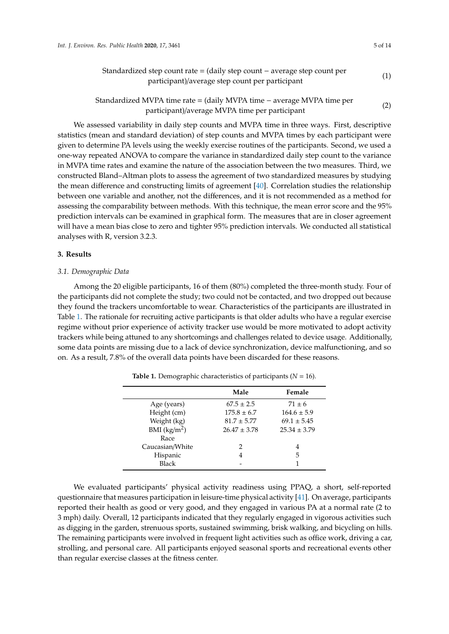| Standardized step count rate $=$ (daily step count $-$ average step count per |  |
|-------------------------------------------------------------------------------|--|
| participant)/average step count per participant                               |  |

Standardized MVPA time rate = (daily MVPA time − average MVPA time per participant)/average MVPA time per participant  $(2)$ 

We assessed variability in daily step counts and MVPA time in three ways. First, descriptive statistics (mean and standard deviation) of step counts and MVPA times by each participant were given to determine PA levels using the weekly exercise routines of the participants. Second, we used a one-way repeated ANOVA to compare the variance in standardized daily step count to the variance in MVPA time rates and examine the nature of the association between the two measures. Third, we constructed Bland–Altman plots to assess the agreement of two standardized measures by studying the mean difference and constructing limits of agreement [\[40\]](#page-12-9). Correlation studies the relationship between one variable and another, not the differences, and it is not recommended as a method for assessing the comparability between methods. With this technique, the mean error score and the 95% prediction intervals can be examined in graphical form. The measures that are in closer agreement will have a mean bias close to zero and tighter 95% prediction intervals. We conducted all statistical analyses with R, version 3.2.3.

#### **3. Results**

#### *3.1. Demographic Data*

Among the 20 eligible participants, 16 of them (80%) completed the three-month study. Four of the participants did not complete the study; two could not be contacted, and two dropped out because they found the trackers uncomfortable to wear. Characteristics of the participants are illustrated in Table [1.](#page-4-0) The rationale for recruiting active participants is that older adults who have a regular exercise regime without prior experience of activity tracker use would be more motivated to adopt activity trackers while being attuned to any shortcomings and challenges related to device usage. Additionally, some data points are missing due to a lack of device synchronization, device malfunctioning, and so on. As a result, 7.8% of the overall data points have been discarded for these reasons.

<span id="page-4-0"></span>

|                 | Male             | Female           |
|-----------------|------------------|------------------|
| Age (years)     | $67.5 \pm 2.5$   | $71 \pm 6$       |
| Height (cm)     | $175.8 \pm 6.7$  | $164.6 \pm 5.9$  |
| Weight (kg)     | $81.7 \pm 5.77$  | $69.1 \pm 5.45$  |
| BMI $(kg/m2)$   | $26.47 \pm 3.78$ | $25.34 \pm 3.79$ |
| Race            |                  |                  |
| Caucasian/White | 2                | 4                |
| Hispanic        | 4                | 5                |
| <b>Black</b>    |                  |                  |
|                 |                  |                  |

**Table 1.** Demographic characteristics of participants  $(N = 16)$ .

We evaluated participants' physical activity readiness using PPAQ, a short, self-reported questionnaire that measures participation in leisure-time physical activity [\[41\]](#page-12-10). On average, participants reported their health as good or very good, and they engaged in various PA at a normal rate (2 to 3 mph) daily. Overall, 12 participants indicated that they regularly engaged in vigorous activities such as digging in the garden, strenuous sports, sustained swimming, brisk walking, and bicycling on hills. The remaining participants were involved in frequent light activities such as office work, driving a car, strolling, and personal care. All participants enjoyed seasonal sports and recreational events other than regular exercise classes at the fitness center.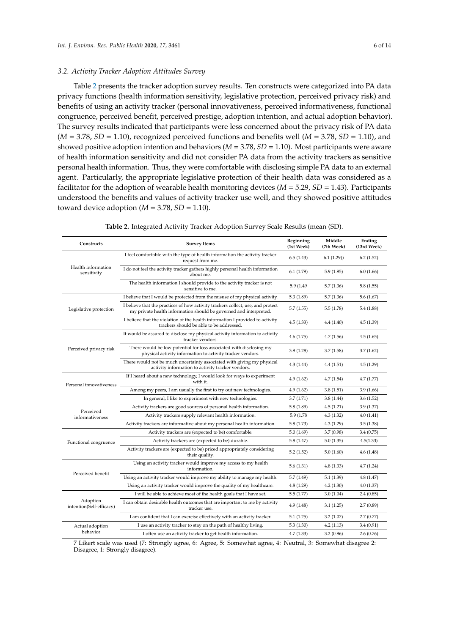# *3.2. Activity Tracker Adoption Attitudes Survey*

Table [2](#page-5-0) presents the tracker adoption survey results. Ten constructs were categorized into PA data privacy functions (health information sensitivity, legislative protection, perceived privacy risk) and benefits of using an activity tracker (personal innovativeness, perceived informativeness, functional congruence, perceived benefit, perceived prestige, adoption intention, and actual adoption behavior). The survey results indicated that participants were less concerned about the privacy risk of PA data  $(M = 3.78, SD = 1.10)$ , recognized perceived functions and benefits well  $(M = 3.78, SD = 1.10)$ , and showed positive adoption intention and behaviors (*M* = 3.78, *SD* = 1.10). Most participants were aware of health information sensitivity and did not consider PA data from the activity trackers as sensitive personal health information. Thus, they were comfortable with disclosing simple PA data to an external agent. Particularly, the appropriate legislative protection of their health data was considered as a facilitator for the adoption of wearable health monitoring devices (*M* = 5.29, *SD* = 1.43). Participants understood the benefits and values of activity tracker use well, and they showed positive attitudes toward device adoption  $(M = 3.78, SD = 1.10)$ .

<span id="page-5-0"></span>

| Constructs                           | <b>Survey Items</b>                                                                                                                                  | Beginning<br>(1st Week) | Middle<br>(7th Week) | Ending<br>(13rd Week) |
|--------------------------------------|------------------------------------------------------------------------------------------------------------------------------------------------------|-------------------------|----------------------|-----------------------|
| Health information<br>sensitivity    | I feel comfortable with the type of health information the activity tracker<br>request from me.                                                      | 6.5(1.43)               | 6.1(1.29)            | 6.2(1.52)             |
|                                      | I do not feel the activity tracker gathers highly personal health information<br>about me.                                                           | 6.1(1.79)               | 5.9(1.95)            | 6.0(1.66)             |
|                                      | The health information I should provide to the activity tracker is not<br>sensitive to me.                                                           | 5.9 (1.49               | 5.7(1.36)            | 5.8(1.55)             |
| Legislative protection               | I believe that I would be protected from the misuse of my physical activity.                                                                         | 5.3 (1.89)              | 5.7(1.36)            | 5.6 (1.67)            |
|                                      | I believe that the practices of how activity trackers collect, use, and protect<br>my private health information should be governed and interpreted. | 5.7 (1.55)              | 5.5(1.78)            | 5.4 (1.88)            |
|                                      | I believe that the violation of the health information I provided to activity<br>trackers should be able to be addressed.                            | 4.5(1.33)               | 4.4(1.40)            | 4.5(1.39)             |
| Perceived privacy risk               | It would be assured to disclose my physical activity information to activity<br>tracker vendors.                                                     | 4.6 (1.75)              | 4.7(1.56)            | 4.5(1.65)             |
|                                      | There would be low potential for loss associated with disclosing my<br>physical activity information to activity tracker vendors.                    | 3.9 (1.28)              | 3.7(1.58)            | 3.7(1.62)             |
|                                      | There would not be much uncertainty associated with giving my physical<br>activity information to activity tracker vendors.                          | 4.3 (1.44)              | 4.4(1.51)            | 4.5(1.29)             |
| Personal innovativeness              | If I heard about a new technology, I would look for ways to experiment<br>with it.                                                                   | 4.9 (1.62)              | 4.7(1.54)            | 4.7(1.77)             |
|                                      | Among my peers, I am usually the first to try out new technologies.                                                                                  | 4.9 (1.62)              | 3.8(1.51)            | 3.9(1.66)             |
|                                      | In general, I like to experiment with new technologies.                                                                                              | 3.7 (1.71)              | 3.8(1.44)            | 3.6(1.52)             |
| Perceived<br>informativeness         | Activity trackers are good sources of personal health information.                                                                                   | 5.8 (1.89)              | 4.5(1.21)            | 3.9(1.37)             |
|                                      | Activity trackers supply relevant health information.                                                                                                | 5.9 (1.78)              | 4.3(1.32)            | 4.0(1.41)             |
|                                      | Activity trackers are informative about my personal health information.                                                                              | 5.8 (1.73)              | 4.3(1.29)            | 3.5(1.38)             |
| Functional congruence                | Activity trackers are (expected to be) comfortable.                                                                                                  | 5.0(1.69)               | 3.7(0.98)            | 3.4(0.75)             |
|                                      | Activity trackers are (expected to be) durable.                                                                                                      | 5.8 (1.47)              | 5.0(1.35)            | 4.5(1.33)             |
|                                      | Activity trackers are (expected to be) priced appropriately considering<br>their quality.                                                            | 5.2(1.52)               | 5.0(1.60)            | 4.6(1.48)             |
| Perceived benefit                    | Using an activity tracker would improve my access to my health<br>information.                                                                       | 5.6 (1.31)              | 4.8(1.33)            | 4.7(1.24)             |
|                                      | Using an activity tracker would improve my ability to manage my health.                                                                              | 5.7 (1.49)              | 5.1(1.39)            | 4.8(1.47)             |
|                                      | Using an activity tracker would improve the quality of my healthcare.                                                                                | 4.8 (1.29)              | 4.2(1.30)            | 4.0 (1.37)            |
|                                      | I will be able to achieve most of the health goals that I have set.                                                                                  | 5.5 (1.77)              | 3.0(1.04)            | 2.4(0.85)             |
| Adoption<br>intention(Self-efficacy) | I can obtain desirable health outcomes that are important to me by activity<br>tracker use.                                                          | 4.9 (1.48)              | 3.1(1.25)            | 2.7(0.89)             |
|                                      | I am confident that I can exercise effectively with an activity tracker.                                                                             | 5.1 (1.25)              | 3.2(1.07)            | 2.7(0.77)             |
| Actual adoption<br>behavior          | I use an activity tracker to stay on the path of healthy living.                                                                                     | 5.3(1.30)               | 4.2(1.13)            | 3.4(0.91)             |
|                                      | I often use an activity tracker to get health information.                                                                                           | 4.7 (1.33)              | 3.2(0.96)            | 2.6(0.76)             |

**Table 2.** Integrated Activity Tracker Adoption Survey Scale Results (mean (SD).

7 Likert scale was used (7: Strongly agree, 6: Agree, 5: Somewhat agree, 4: Neutral, 3: Somewhat disagree 2: Disagree, 1: Strongly disagree).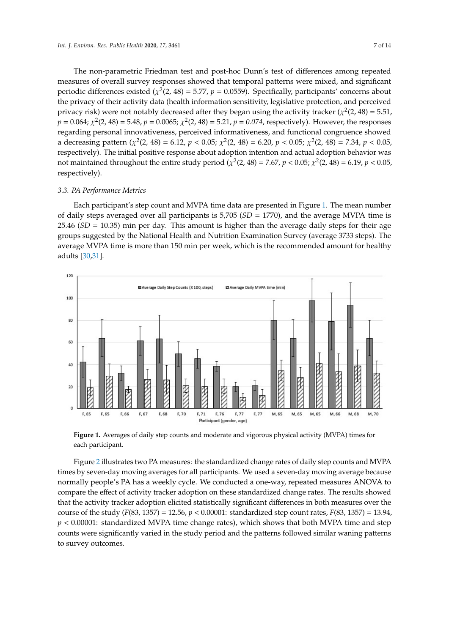The non-parametric Friedman test and post-hoc Dunn's test of differences among repeated measures of overall survey responses showed that temporal patterns were mixed, and significant periodic differences existed ( $\chi^2$ (2, 48) = 5.77,  $p$  = 0.0559). Specifically, participants' concerns about the privacy of their activity data (health information sensitivity, legislative protection, and perceived privacy risk) were not notably decreased after they began using the activity tracker ( $\chi^2$ (2, 48) = 5.51,  $p = 0.064$ ;  $\chi^2(2, 48) = 5.48$ ,  $p = 0.0065$ ;  $\chi^2(2, 48) = 5.21$ ,  $p = 0.074$ , respectively). However, the responses regarding personal innovativeness, perceived informativeness, and functional congruence showed a decreasing pattern ( $\chi^2(2, 48) = 6.12$ ,  $p < 0.05$ ;  $\chi^2(2, 48) = 6.20$ ,  $p < 0.05$ ;  $\chi^2(2, 48) = 7.34$ ,  $p < 0.05$ , respectively). The initial positive response about adoption intention and actual adoption behavior was not maintained throughout the entire study period ( $\chi^2(2, 48) = 7.67$ ,  $p < 0.05$ ;  $\chi^2(2, 48) = 6.19$ ,  $p < 0.05$ , respectively).

# *3.3. PA Performance Metrics*

Each participant's step count and MVPA time data are presented in Figure [1.](#page-6-0) The mean number of daily steps averaged over all participants is 5,705 (*SD* = 1770), and the average MVPA time is 25.46 (*SD* = 10.35) min per day. This amount is higher than the average daily steps for their age groups suggested by the National Health and Nutrition Examination Survey (average 3733 steps). The average MVPA time is more than 150 min per week, which is the recommended amount for healthy *adults* [\[30,](#page-12-11)[31\]](#page-12-0).

<span id="page-6-0"></span>

**Figure 1.** Averages of daily step counts and moderate and vigorous physical activity (MVPA) times **Figure 1.** Averages of daily step counts and moderate and vigorous physical activity (MVPA) times for each participant.

Figure [2](#page-7-0) illustrates two PA measures: the standardized change rates of daily step counts and Figure 2 illustrates two PA measures: the standardized change rates of daily step counts and MVPA times by seven-day moving averages for all participants. We used a seven-day moving average because normally people's PA has a weekly cycle. We conducted a one-way, repeated measures ANOVA to compare the effect of activity tracker adoption on these standardized change rates. The results showed that the activity tracker adoption elicited statistically significant differences in both measures over the course of the study ( $F(83, 1357) = 12.56$ ,  $p < 0.00001$ : standardized step count rates,  $F(83, 1357) = 13.94$ , p < 0.00001: standardized MVPA time change rates), which shows that both MVPA time and step counts were significantly varied in the study period and the patterns followed similar waning patterns to survey outcomes.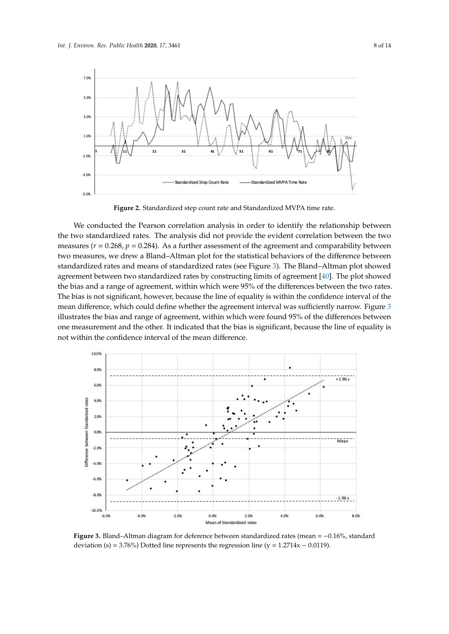<span id="page-7-0"></span>

**Figure 2.** Standardized step count rate and Standardized MVPA time rate. **Figure 2.** Standardized step count rate and Standardized MVPA time rate.

We conducted the Pearson correlation analysis in order to identify the relationship between the two standardized rates. The analysis did not provide the evident correlation between the two measures ( $r = 0.268$ ,  $p = 0.284$ ). As a further assessment of the agreement and comparability between two measures, we drew a Bland–Altman plot for the statistical behaviors of the difference between two measures, we drew a Bland–Altman plot for the statistical behaviors of the difference between standardized rates and means of standardized rates (see Figure [3\).](#page-7-1) The Bland–Altman plot showed standardized rates and means of standardized rates (see Figure 3). The Bland–Altman plot showed agreement between two standardized rates by constructing limits of agreement [40]. The plot showed agreement between two standardized rates by constructing limits of agreement [\[40\]](#page-12-9). The plot showed the bias and a range of agreement, within which were 95% of the differences between the two rates. The bias is not significant, however, because the line of equality is within the confidence interval of The bias is not significant, however, because the line of equality is within the confidence interval of the mean difference, which could define whether the agreement interval was sufficiently narrow. Figure [3](#page-7-1) illustrates the bias and range of agreement, within which were found 95% of the differences between one measurement and the other. It indicated that the bias is significant, because the line of equality is not within the confidence interval of the mean difference.

<span id="page-7-1"></span>

**Figure 3.** Bland–Altman diagram for deference between standardized rates (mean = −0.16%, standard deviation (s) = 3.76%) Dotted line represents the regression line (y =  $1.2714x - 0.0119$ ). **Figure 3.** Bland–Altman diagram for deference between standardized rates (mean = −0.16%, standard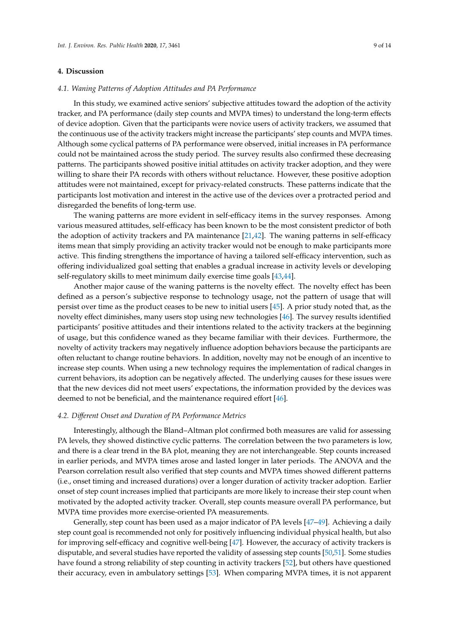# **4. Discussion**

#### *4.1. Waning Patterns of Adoption Attitudes and PA Performance*

In this study, we examined active seniors' subjective attitudes toward the adoption of the activity tracker, and PA performance (daily step counts and MVPA times) to understand the long-term effects of device adoption. Given that the participants were novice users of activity trackers, we assumed that the continuous use of the activity trackers might increase the participants' step counts and MVPA times. Although some cyclical patterns of PA performance were observed, initial increases in PA performance could not be maintained across the study period. The survey results also confirmed these decreasing patterns. The participants showed positive initial attitudes on activity tracker adoption, and they were willing to share their PA records with others without reluctance. However, these positive adoption attitudes were not maintained, except for privacy-related constructs. These patterns indicate that the participants lost motivation and interest in the active use of the devices over a protracted period and disregarded the benefits of long-term use.

The waning patterns are more evident in self-efficacy items in the survey responses. Among various measured attitudes, self-efficacy has been known to be the most consistent predictor of both the adoption of activity trackers and PA maintenance  $[21,42]$  $[21,42]$ . The waning patterns in self-efficacy items mean that simply providing an activity tracker would not be enough to make participants more active. This finding strengthens the importance of having a tailored self-efficacy intervention, such as offering individualized goal setting that enables a gradual increase in activity levels or developing self-regulatory skills to meet minimum daily exercise time goals [\[43,](#page-12-13)[44\]](#page-12-14).

Another major cause of the waning patterns is the novelty effect. The novelty effect has been defined as a person's subjective response to technology usage, not the pattern of usage that will persist over time as the product ceases to be new to initial users [\[45\]](#page-12-15). A prior study noted that, as the novelty effect diminishes, many users stop using new technologies [\[46\]](#page-12-16). The survey results identified participants' positive attitudes and their intentions related to the activity trackers at the beginning of usage, but this confidence waned as they became familiar with their devices. Furthermore, the novelty of activity trackers may negatively influence adoption behaviors because the participants are often reluctant to change routine behaviors. In addition, novelty may not be enough of an incentive to increase step counts. When using a new technology requires the implementation of radical changes in current behaviors, its adoption can be negatively affected. The underlying causes for these issues were that the new devices did not meet users' expectations, the information provided by the devices was deemed to not be beneficial, and the maintenance required effort [\[46\]](#page-12-16).

# *4.2. Di*ff*erent Onset and Duration of PA Performance Metrics*

Interestingly, although the Bland–Altman plot confirmed both measures are valid for assessing PA levels, they showed distinctive cyclic patterns. The correlation between the two parameters is low, and there is a clear trend in the BA plot, meaning they are not interchangeable. Step counts increased in earlier periods, and MVPA times arose and lasted longer in later periods. The ANOVA and the Pearson correlation result also verified that step counts and MVPA times showed different patterns (i.e., onset timing and increased durations) over a longer duration of activity tracker adoption. Earlier onset of step count increases implied that participants are more likely to increase their step count when motivated by the adopted activity tracker. Overall, step counts measure overall PA performance, but MVPA time provides more exercise-oriented PA measurements.

Generally, step count has been used as a major indicator of PA levels [\[47](#page-12-17)[–49\]](#page-12-18). Achieving a daily step count goal is recommended not only for positively influencing individual physical health, but also for improving self-efficacy and cognitive well-being [\[47\]](#page-12-17). However, the accuracy of activity trackers is disputable, and several studies have reported the validity of assessing step counts [\[50,](#page-13-0)[51\]](#page-13-1). Some studies have found a strong reliability of step counting in activity trackers [\[52\]](#page-13-2), but others have questioned their accuracy, even in ambulatory settings [\[53\]](#page-13-3). When comparing MVPA times, it is not apparent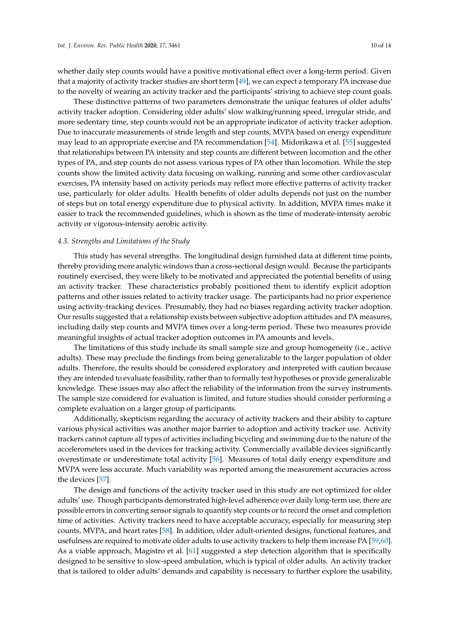whether daily step counts would have a positive motivational effect over a long-term period. Given that a majority of activity tracker studies are short term [\[49\]](#page-12-18), we can expect a temporary PA increase due to the novelty of wearing an activity tracker and the participants' striving to achieve step count goals.

These distinctive patterns of two parameters demonstrate the unique features of older adults' activity tracker adoption. Considering older adults' slow walking/running speed, irregular stride, and more sedentary time, step counts would not be an appropriate indicator of activity tracker adoption. Due to inaccurate measurements of stride length and step counts, MVPA based on energy expenditure may lead to an appropriate exercise and PA recommendation [\[54\]](#page-13-4). Midorikawa et al. [\[55\]](#page-13-5) suggested that relationships between PA intensity and step counts are different between locomotion and the other types of PA, and step counts do not assess various types of PA other than locomotion. While the step counts show the limited activity data focusing on walking, running and some other cardiovascular exercises, PA intensity based on activity periods may reflect more effective patterns of activity tracker use, particularly for older adults. Health benefits of older adults depends not just on the number of steps but on total energy expenditure due to physical activity. In addition, MVPA times make it easier to track the recommended guidelines, which is shown as the time of moderate-intensity aerobic activity or vigorous-intensity aerobic activity.

# *4.3. Strengths and Limitations of the Study*

This study has several strengths. The longitudinal design furnished data at different time points, thereby providing more analytic windows than a cross-sectional design would. Because the participants routinely exercised, they were likely to be motivated and appreciated the potential benefits of using an activity tracker. These characteristics probably positioned them to identify explicit adoption patterns and other issues related to activity tracker usage. The participants had no prior experience using activity-tracking devices. Presumably, they had no biases regarding activity tracker adoption. Our results suggested that a relationship exists between subjective adoption attitudes and PA measures, including daily step counts and MVPA times over a long-term period. These two measures provide meaningful insights of actual tracker adoption outcomes in PA amounts and levels.

The limitations of this study include its small sample size and group homogeneity (i.e., active adults). These may preclude the findings from being generalizable to the larger population of older adults. Therefore, the results should be considered exploratory and interpreted with caution because they are intended to evaluate feasibility, rather than to formally test hypotheses or provide generalizable knowledge. These issues may also affect the reliability of the information from the survey instruments. The sample size considered for evaluation is limited, and future studies should consider performing a complete evaluation on a larger group of participants.

Additionally, skepticism regarding the accuracy of activity trackers and their ability to capture various physical activities was another major barrier to adoption and activity tracker use. Activity trackers cannot capture all types of activities including bicycling and swimming due to the nature of the accelerometers used in the devices for tracking activity. Commercially available devices significantly overestimate or underestimate total activity [\[56\]](#page-13-6). Measures of total daily energy expenditure and MVPA were less accurate. Much variability was reported among the measurement accuracies across the devices [\[57\]](#page-13-7).

The design and functions of the activity tracker used in this study are not optimized for older adults' use. Though participants demonstrated high-level adherence over daily long-term use, there are possible errors in converting sensor signals to quantify step counts or to record the onset and completion time of activities. Activity trackers need to have acceptable accuracy, especially for measuring step counts, MVPA, and heart rates [\[58\]](#page-13-8). In addition, older adult-oriented designs, functional features, and usefulness are required to motivate older adults to use activity trackers to help them increase PA [\[59](#page-13-9)[,60\]](#page-13-10). As a viable approach, Magistro et al. [\[61\]](#page-13-11) suggested a step detection algorithm that is specifically designed to be sensitive to slow-speed ambulation, which is typical of older adults. An activity tracker that is tailored to older adults' demands and capability is necessary to further explore the usability,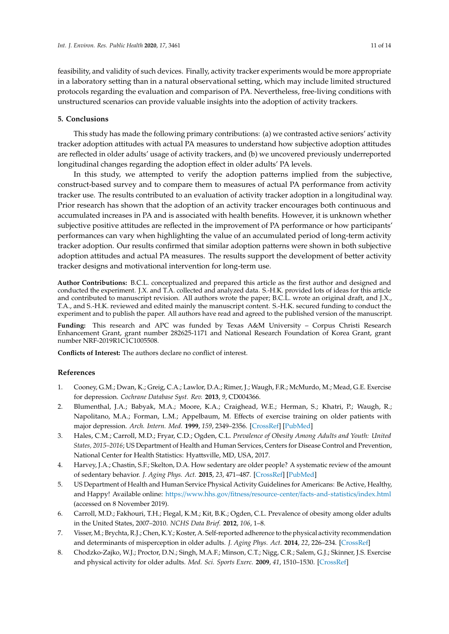feasibility, and validity of such devices. Finally, activity tracker experiments would be more appropriate in a laboratory setting than in a natural observational setting, which may include limited structured protocols regarding the evaluation and comparison of PA. Nevertheless, free-living conditions with unstructured scenarios can provide valuable insights into the adoption of activity trackers.

# **5. Conclusions**

This study has made the following primary contributions: (a) we contrasted active seniors' activity tracker adoption attitudes with actual PA measures to understand how subjective adoption attitudes are reflected in older adults' usage of activity trackers, and (b) we uncovered previously underreported longitudinal changes regarding the adoption effect in older adults' PA levels.

In this study, we attempted to verify the adoption patterns implied from the subjective, construct-based survey and to compare them to measures of actual PA performance from activity tracker use. The results contributed to an evaluation of activity tracker adoption in a longitudinal way. Prior research has shown that the adoption of an activity tracker encourages both continuous and accumulated increases in PA and is associated with health benefits. However, it is unknown whether subjective positive attitudes are reflected in the improvement of PA performance or how participants' performances can vary when highlighting the value of an accumulated period of long-term activity tracker adoption. Our results confirmed that similar adoption patterns were shown in both subjective adoption attitudes and actual PA measures. The results support the development of better activity tracker designs and motivational intervention for long-term use.

**Author Contributions:** B.C.L. conceptualized and prepared this article as the first author and designed and conducted the experiment. J.X. and T.A. collected and analyzed data. S.-H.K. provided lots of ideas for this article and contributed to manuscript revision. All authors wrote the paper; B.C.L. wrote an original draft, and J.X., T.A., and S.-H.K. reviewed and edited mainly the manuscript content. S.-H.K. secured funding to conduct the experiment and to publish the paper. All authors have read and agreed to the published version of the manuscript.

**Funding:** This research and APC was funded by Texas A&M University – Corpus Christi Research Enhancement Grant, grant number 282625-1171 and National Research Foundation of Korea Grant, grant number NRF-2019R1C1C1005508.

**Conflicts of Interest:** The authors declare no conflict of interest.

# **References**

- <span id="page-10-0"></span>1. Cooney, G.M.; Dwan, K.; Greig, C.A.; Lawlor, D.A.; Rimer, J.; Waugh, F.R.; McMurdo, M.; Mead, G.E. Exercise for depression. *Cochrane Database Syst. Rev.* **2013**, *9*, CD004366.
- <span id="page-10-1"></span>2. Blumenthal, J.A.; Babyak, M.A.; Moore, K.A.; Craighead, W.E.; Herman, S.; Khatri, P.; Waugh, R.; Napolitano, M.A.; Forman, L.M.; Appelbaum, M. Effects of exercise training on older patients with major depression. *Arch. Intern. Med.* **1999**, *159*, 2349–2356. [\[CrossRef\]](http://dx.doi.org/10.1001/archinte.159.19.2349) [\[PubMed\]](http://www.ncbi.nlm.nih.gov/pubmed/10547175)
- <span id="page-10-2"></span>3. Hales, C.M.; Carroll, M.D.; Fryar, C.D.; Ogden, C.L. *Prevalence of Obesity Among Adults and Youth: United States, 2015–2016*; US Department of Health and Human Services, Centers for Disease Control and Prevention, National Center for Health Statistics: Hyattsville, MD, USA, 2017.
- <span id="page-10-5"></span>4. Harvey, J.A.; Chastin, S.F.; Skelton, D.A. How sedentary are older people? A systematic review of the amount of sedentary behavior. *J. Aging Phys. Act.* **2015**, *23*, 471–487. [\[CrossRef\]](http://dx.doi.org/10.1123/japa.2014-0164) [\[PubMed\]](http://www.ncbi.nlm.nih.gov/pubmed/25387160)
- <span id="page-10-3"></span>5. US Department of Health and Human Service Physical Activity Guidelines for Americans: Be Active, Healthy, and Happy! Available online: https://www.hhs.gov/fitness/resource-center/[facts-and-statistics](https://www.hhs.gov/fitness/resource-center/facts-and-statistics/index.html)/index.html (accessed on 8 November 2019).
- <span id="page-10-4"></span>6. Carroll, M.D.; Fakhouri, T.H.; Flegal, K.M.; Kit, B.K.; Ogden, C.L. Prevalence of obesity among older adults in the United States, 2007–2010. *NCHS Data Brief.* **2012**, *106*, 1–8.
- <span id="page-10-6"></span>7. Visser, M.; Brychta, R.J.; Chen, K.Y.; Koster, A. Self-reported adherence to the physical activity recommendation and determinants of misperception in older adults. *J. Aging Phys. Act.* **2014**, *22*, 226–234. [\[CrossRef\]](http://dx.doi.org/10.1123/japa.2012-0219)
- <span id="page-10-7"></span>8. Chodzko-Zajko, W.J.; Proctor, D.N.; Singh, M.A.F.; Minson, C.T.; Nigg, C.R.; Salem, G.J.; Skinner, J.S. Exercise and physical activity for older adults. *Med. Sci. Sports Exerc.* **2009**, *41*, 1510–1530. [\[CrossRef\]](http://dx.doi.org/10.1249/MSS.0b013e3181a0c95c)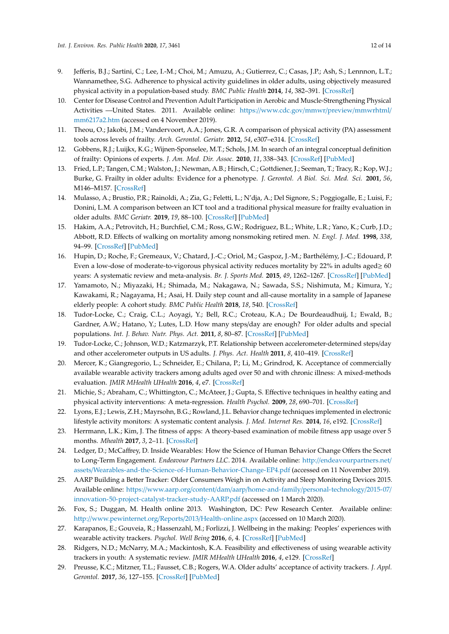- <span id="page-11-0"></span>9. Jefferis, B.J.; Sartini, C.; Lee, I.-M.; Choi, M.; Amuzu, A.; Gutierrez, C.; Casas, J.P.; Ash, S.; Lennnon, L.T.; Wannamethee, S.G. Adherence to physical activity guidelines in older adults, using objectively measured physical activity in a population-based study. *BMC Public Health* **2014**, *14*, 382–391. [\[CrossRef\]](http://dx.doi.org/10.1186/1471-2458-14-382)
- <span id="page-11-1"></span>10. Center for Disease Control and Prevention Adult Participation in Aerobic and Muscle-Strengthening Physical Activities —United States. 2011. Available online: https://[www.cdc.gov](https://www.cdc.gov/mmwr/preview/mmwrhtml/mm6217a2.htm)/mmwr/preview/mmwrhtml/ [mm6217a2.htm](https://www.cdc.gov/mmwr/preview/mmwrhtml/mm6217a2.htm) (accessed on 4 November 2019).
- <span id="page-11-2"></span>11. Theou, O.; Jakobi, J.M.; Vandervoort, A.A.; Jones, G.R. A comparison of physical activity (PA) assessment tools across levels of frailty. *Arch. Gerontol. Geriatr.* **2012**, *54*, e307–e314. [\[CrossRef\]](http://dx.doi.org/10.1016/j.archger.2011.12.005)
- <span id="page-11-3"></span>12. Gobbens, R.J.; Luijkx, K.G.; Wijnen-Sponselee, M.T.; Schols, J.M. In search of an integral conceptual definition of frailty: Opinions of experts. *J. Am. Med. Dir. Assoc.* **2010**, *11*, 338–343. [\[CrossRef\]](http://dx.doi.org/10.1016/j.jamda.2009.09.015) [\[PubMed\]](http://www.ncbi.nlm.nih.gov/pubmed/20511101)
- <span id="page-11-4"></span>13. Fried, L.P.; Tangen, C.M.; Walston, J.; Newman, A.B.; Hirsch, C.; Gottdiener, J.; Seeman, T.; Tracy, R.; Kop, W.J.; Burke, G. Frailty in older adults: Evidence for a phenotype. *J. Gerontol. A Biol. Sci. Med. Sci.* **2001**, *56*, M146–M157. [\[CrossRef\]](http://dx.doi.org/10.1093/gerona/56.3.M146)
- <span id="page-11-5"></span>14. Mulasso, A.; Brustio, P.R.; Rainoldi, A.; Zia, G.; Feletti, L.; N'dja, A.; Del Signore, S.; Poggiogalle, E.; Luisi, F.; Donini, L.M. A comparison between an ICT tool and a traditional physical measure for frailty evaluation in older adults. *BMC Geriatr.* **2019**, *19*, 88–100. [\[CrossRef\]](http://dx.doi.org/10.1186/s12877-019-1089-z) [\[PubMed\]](http://www.ncbi.nlm.nih.gov/pubmed/30898096)
- <span id="page-11-6"></span>15. Hakim, A.A.; Petrovitch, H.; Burchfiel, C.M.; Ross, G.W.; Rodriguez, B.L.; White, L.R.; Yano, K.; Curb, J.D.; Abbott, R.D. Effects of walking on mortality among nonsmoking retired men. *N. Engl. J. Med.* **1998**, *338*, 94–99. [\[CrossRef\]](http://dx.doi.org/10.1056/NEJM199801083380204) [\[PubMed\]](http://www.ncbi.nlm.nih.gov/pubmed/9420340)
- <span id="page-11-7"></span>16. Hupin, D.; Roche, F.; Gremeaux, V.; Chatard, J.-C.; Oriol, M.; Gaspoz, J.-M.; Barthélémy, J.-C.; Edouard, P. Even a low-dose of moderate-to-vigorous physical activity reduces mortality by  $22\%$  in adults aged≥ 60 years: A systematic review and meta-analysis. *Br. J. Sports Med.* **2015**, *49*, 1262–1267. [\[CrossRef\]](http://dx.doi.org/10.1136/bjsports-2014-094306) [\[PubMed\]](http://www.ncbi.nlm.nih.gov/pubmed/26238869)
- <span id="page-11-8"></span>17. Yamamoto, N.; Miyazaki, H.; Shimada, M.; Nakagawa, N.; Sawada, S.S.; Nishimuta, M.; Kimura, Y.; Kawakami, R.; Nagayama, H.; Asai, H. Daily step count and all-cause mortality in a sample of Japanese elderly people: A cohort study. *BMC Public Health* **2018**, *18*, 540. [\[CrossRef\]](http://dx.doi.org/10.1186/s12889-018-5434-5)
- <span id="page-11-9"></span>18. Tudor-Locke, C.; Craig, C.L.; Aoyagi, Y.; Bell, R.C.; Croteau, K.A.; De Bourdeaudhuij, I.; Ewald, B.; Gardner, A.W.; Hatano, Y.; Lutes, L.D. How many steps/day are enough? For older adults and special populations. *Int. J. Behav. Nutr. Phys. Act.* **2011**, *8*, 80–87. [\[CrossRef\]](http://dx.doi.org/10.1186/1479-5868-8-80) [\[PubMed\]](http://www.ncbi.nlm.nih.gov/pubmed/21798044)
- <span id="page-11-10"></span>19. Tudor-Locke, C.; Johnson, W.D.; Katzmarzyk, P.T. Relationship between accelerometer-determined steps/day and other accelerometer outputs in US adults. *J. Phys. Act. Health* **2011**, *8*, 410–419. [\[CrossRef\]](http://dx.doi.org/10.1123/jpah.8.3.410)
- <span id="page-11-11"></span>20. Mercer, K.; Giangregorio, L.; Schneider, E.; Chilana, P.; Li, M.; Grindrod, K. Acceptance of commercially available wearable activity trackers among adults aged over 50 and with chronic illness: A mixed-methods evaluation. *JMIR MHealth UHealth* **2016**, *4*, e7. [\[CrossRef\]](http://dx.doi.org/10.2196/mhealth.4225)
- <span id="page-11-20"></span>21. Michie, S.; Abraham, C.; Whittington, C.; McAteer, J.; Gupta, S. Effective techniques in healthy eating and physical activity interventions: A meta-regression. *Health Psychol.* **2009**, *28*, 690–701. [\[CrossRef\]](http://dx.doi.org/10.1037/a0016136)
- <span id="page-11-12"></span>22. Lyons, E.J.; Lewis, Z.H.; Mayrsohn, B.G.; Rowland, J.L. Behavior change techniques implemented in electronic lifestyle activity monitors: A systematic content analysis. *J. Med. Internet Res.* **2014**, *16*, e192. [\[CrossRef\]](http://dx.doi.org/10.2196/jmir.3469)
- <span id="page-11-13"></span>23. Herrmann, L.K.; Kim, J. The fitness of apps: A theory-based examination of mobile fitness app usage over 5 months. *Mhealth* **2017**, *3*, 2–11. [\[CrossRef\]](http://dx.doi.org/10.21037/mhealth.2017.01.03)
- <span id="page-11-14"></span>24. Ledger, D.; McCaffrey, D. Inside Wearables: How the Science of Human Behavior Change Offers the Secret to Long-Term Engagement. *Endeavour Partners LLC*. 2014. Available online: http://[endeavourpartners.net](http://endeavourpartners.net/assets/Wearables-and-the-Science-of-Human-Behavior-Change-EP4.pdf)/ assets/[Wearables-and-the-Science-of-Human-Behavior-Change-EP4.pdf](http://endeavourpartners.net/assets/Wearables-and-the-Science-of-Human-Behavior-Change-EP4.pdf) (accessed on 11 November 2019).
- <span id="page-11-15"></span>25. AARP Building a Better Tracker: Older Consumers Weigh in on Activity and Sleep Monitoring Devices 2015. Available online: https://www.aarp.org/content/dam/aarp/home-and-family/[personal-technology](https://www.aarp.org/content/dam/aarp/home-and-family/personal-technology/2015-07/innovation-50-project-catalyst-tracker-study-AARP.pdf)/2015-07/ [innovation-50-project-catalyst-tracker-study-AARP.pdf](https://www.aarp.org/content/dam/aarp/home-and-family/personal-technology/2015-07/innovation-50-project-catalyst-tracker-study-AARP.pdf) (accessed on 1 March 2020).
- <span id="page-11-16"></span>26. Fox, S.; Duggan, M. Health online 2013. Washington, DC: Pew Research Center. Available online: http://[www.pewinternet.org](http://www.pewinternet.org/Reports/2013/Health-online.aspx)/Reports/2013/Health-online.aspx (accessed on 10 March 2020).
- <span id="page-11-17"></span>27. Karapanos, E.; Gouveia, R.; Hassenzahl, M.; Forlizzi, J. Wellbeing in the making: Peoples' experiences with wearable activity trackers. *Psychol. Well Being* **2016**, *6*, 4. [\[CrossRef\]](http://dx.doi.org/10.1186/s13612-016-0042-6) [\[PubMed\]](http://www.ncbi.nlm.nih.gov/pubmed/27376017)
- <span id="page-11-18"></span>28. Ridgers, N.D.; McNarry, M.A.; Mackintosh, K.A. Feasibility and effectiveness of using wearable activity trackers in youth: A systematic review. *JMIR MHealth UHealth* **2016**, *4*, e129. [\[CrossRef\]](http://dx.doi.org/10.2196/mhealth.6540)
- <span id="page-11-19"></span>29. Preusse, K.C.; Mitzner, T.L.; Fausset, C.B.; Rogers, W.A. Older adults' acceptance of activity trackers. *J. Appl. Gerontol.* **2017**, *36*, 127–155. [\[CrossRef\]](http://dx.doi.org/10.1177/0733464815624151) [\[PubMed\]](http://www.ncbi.nlm.nih.gov/pubmed/26753803)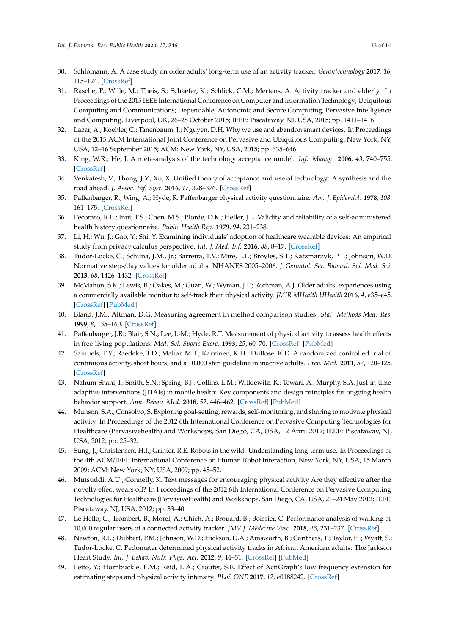- <span id="page-12-11"></span>30. Schlomann, A. A case study on older adults' long-term use of an activity tracker. *Gerontechnology* **2017**, *16*, 115–124. [\[CrossRef\]](http://dx.doi.org/10.4017/gt.2017.16.2.007.00)
- <span id="page-12-0"></span>31. Rasche, P.; Wille, M.; Theis, S.; Schäefer, K.; Schlick, C.M.; Mertens, A. Activity tracker and elderly. In Proceedings of the 2015 IEEE International Conference on Computer and Information Technology; Ubiquitous Computing and Communications; Dependable, Autonomic and Secure Computing, Pervasive Intelligence and Computing, Liverpool, UK, 26–28 October 2015; IEEE: Piscataway, NJ, USA, 2015; pp. 1411–1416.
- <span id="page-12-1"></span>32. Lazar, A.; Koehler, C.; Tanenbaum, J.; Nguyen, D.H. Why we use and abandon smart devices. In Proceedings of the 2015 ACM International Joint Conference on Pervasive and Ubiquitous Computing, New York, NY, USA, 12–16 September 2015; ACM: New York, NY, USA, 2015; pp. 635–646.
- <span id="page-12-2"></span>33. King, W.R.; He, J. A meta-analysis of the technology acceptance model. *Inf. Manag.* **2006**, *43*, 740–755. [\[CrossRef\]](http://dx.doi.org/10.1016/j.im.2006.05.003)
- <span id="page-12-3"></span>34. Venkatesh, V.; Thong, J.Y.; Xu, X. Unified theory of acceptance and use of technology: A synthesis and the road ahead. *J. Assoc. Inf. Syst.* **2016**, *17*, 328–376. [\[CrossRef\]](http://dx.doi.org/10.17705/1jais.00428)
- <span id="page-12-4"></span>35. Paffenbarger, R.; Wing, A.; Hyde, R. Paffenbarger physical activity questionnaire. *Am. J. Epidemiol.* **1978**, *108*, 161–175. [\[CrossRef\]](http://dx.doi.org/10.1093/oxfordjournals.aje.a112608)
- <span id="page-12-5"></span>36. Pecoraro, R.E.; Inui, T.S.; Chen, M.S.; Plorde, D.K.; Heller, J.L. Validity and reliability of a self-administered health history questionnaire. *Public Health Rep.* **1979**, *94*, 231–238.
- <span id="page-12-6"></span>37. Li, H.; Wu, J.; Gao, Y.; Shi, Y. Examining individuals' adoption of healthcare wearable devices: An empirical study from privacy calculus perspective. *Int. J. Med. Inf.* **2016**, *88*, 8–17. [\[CrossRef\]](http://dx.doi.org/10.1016/j.ijmedinf.2015.12.010)
- <span id="page-12-7"></span>38. Tudor-Locke, C.; Schuna, J.M., Jr.; Barreira, T.V.; Mire, E.F.; Broyles, S.T.; Katzmarzyk, P.T.; Johnson, W.D. Normative steps/day values for older adults: NHANES 2005–2006. *J. Gerontol. Ser. Biomed. Sci. Med. Sci.* **2013**, *68*, 1426–1432. [\[CrossRef\]](http://dx.doi.org/10.1093/gerona/glt116)
- <span id="page-12-8"></span>39. McMahon, S.K.; Lewis, B.; Oakes, M.; Guan, W.; Wyman, J.F.; Rothman, A.J. Older adults' experiences using a commercially available monitor to self-track their physical activity. *JMIR MHealth UHealth* **2016**, *4*, e35–e45. [\[CrossRef\]](http://dx.doi.org/10.2196/mhealth.5120) [\[PubMed\]](http://www.ncbi.nlm.nih.gov/pubmed/27076486)
- <span id="page-12-9"></span>40. Bland, J.M.; Altman, D.G. Measuring agreement in method comparison studies. *Stat. Methods Med. Res.* **1999**, *8*, 135–160. [\[CrossRef\]](http://dx.doi.org/10.1177/096228029900800204)
- <span id="page-12-10"></span>41. Paffenbarger, J.R.; Blair, S.N.; Lee, I.-M.; Hyde, R.T. Measurement of physical activity to assess health effects in free-living populations. *Med. Sci. Sports Exerc.* **1993**, *25*, 60–70. [\[CrossRef\]](http://dx.doi.org/10.1249/00005768-199301000-00010) [\[PubMed\]](http://www.ncbi.nlm.nih.gov/pubmed/8423758)
- <span id="page-12-12"></span>42. Samuels, T.Y.; Raedeke, T.D.; Mahar, M.T.; Karvinen, K.H.; DuBose, K.D. A randomized controlled trial of continuous activity, short bouts, and a 10,000 step guideline in inactive adults. *Prev. Med.* **2011**, *52*, 120–125. [\[CrossRef\]](http://dx.doi.org/10.1016/j.ypmed.2010.12.001)
- <span id="page-12-13"></span>43. Nahum-Shani, I.; Smith, S.N.; Spring, B.J.; Collins, L.M.; Witkiewitz, K.; Tewari, A.; Murphy, S.A. Just-in-time adaptive interventions (JITAIs) in mobile health: Key components and design principles for ongoing health behavior support. *Ann. Behav. Med.* **2018**, *52*, 446–462. [\[CrossRef\]](http://dx.doi.org/10.1007/s12160-016-9830-8) [\[PubMed\]](http://www.ncbi.nlm.nih.gov/pubmed/27663578)
- <span id="page-12-14"></span>44. Munson, S.A.; Consolvo, S. Exploring goal-setting, rewards, self-monitoring, and sharing to motivate physical activity. In Proceedings of the 2012 6th International Conference on Pervasive Computing Technologies for Healthcare (Pervasivehealth) and Workshops, San Diego, CA, USA, 12 April 2012; IEEE: Piscataway, NJ, USA, 2012; pp. 25–32.
- <span id="page-12-15"></span>45. Sung, J.; Christensen, H.I.; Grinter, R.E. Robots in the wild: Understanding long-term use. In Proceedings of the 4th ACM/IEEE International Conference on Human Robot Interaction, New York, NY, USA, 15 March 2009; ACM: New York, NY, USA, 2009; pp. 45–52.
- <span id="page-12-16"></span>46. Mutsuddi, A.U.; Connelly, K. Text messages for encouraging physical activity Are they effective after the novelty effect wears off? In Proceedings of the 2012 6th International Conference on Pervasive Computing Technologies for Healthcare (PervasiveHealth) and Workshops, San Diego, CA, USA, 21–24 May 2012; IEEE: Piscataway, NJ, USA, 2012; pp. 33–40.
- <span id="page-12-17"></span>47. Le Hello, C.; Trombert, B.; Morel, A.; Chieh, A.; Brouard, B.; Boissier, C. Performance analysis of walking of 10,000 regular users of a connected activity tracker. *JMV J. Médecine Vasc.* **2018**, *43*, 231–237. [\[CrossRef\]](http://dx.doi.org/10.1016/j.jdmv.2018.04.001)
- 48. Newton, R.L.; Dubbert, P.M.; Johnson, W.D.; Hickson, D.A.; Ainsworth, B.; Carithers, T.; Taylor, H.; Wyatt, S.; Tudor-Locke, C. Pedometer determined physical activity tracks in African American adults: The Jackson Heart Study. *Int. J. Behav. Nutr. Phys. Act.* **2012**, *9*, 44–51. [\[CrossRef\]](http://dx.doi.org/10.1186/1479-5868-9-44) [\[PubMed\]](http://www.ncbi.nlm.nih.gov/pubmed/22512833)
- <span id="page-12-18"></span>49. Feito, Y.; Hornbuckle, L.M.; Reid, L.A.; Crouter, S.E. Effect of ActiGraph's low frequency extension for estimating steps and physical activity intensity. *PLoS ONE* **2017**, *12*, e0188242. [\[CrossRef\]](http://dx.doi.org/10.1371/journal.pone.0188242)